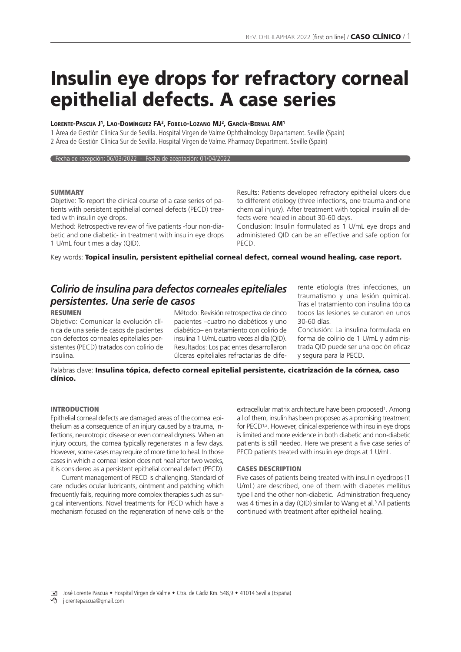# **Insulin eye drops for refractory corneal epithelial defects. A case series**

## **LORENTE-PASCUA J1, LAO-DOMÍNGUEZ FA2, FOBELO-LOZANO MJ2, GARCÍA-BERNAL AM1**

1 Área de Gestión Clínica Sur de Sevilla. Hospital Virgen de Valme Ophthalmology Departament. Seville (Spain) 2 Área de Gestión Clínica Sur de Sevilla. Hospital Virgen de Valme. Pharmacy Department. Seville (Spain)

Fecha de recepción: 06/03/2022 - Fecha de aceptación: 01/04/2022

#### **SUMMARY**

Objetive: To report the clinical course of a case series of patients with persistent epithelial corneal defects (PECD) treated with insulin eve drops.

Method: Retrospective review of five patients -four non-diabetic and one diabetic- in treatment with insulin eye drops 1 U/mL four times a day (QID).

Results: Patients developed refractory epithelial ulcers due to different etiology (three infections, one trauma and one chemical injury). After treatment with topical insulin all defects were healed in about 30-60 days.

Conclusion: Insulin formulated as 1 U/mL eye drops and administered QID can be an effective and safe option for PECD.

Key words: **Topical insulin, persistent epithelial corneal defect, corneal wound healing, case report.**

# *Colirio de insulina para defectos corneales epiteliales persistentes. Una serie de casos*

#### **RESUMEN**

Objetivo: Comunicar la evolución clínica de una serie de casos de pacientes con defectos corneales epiteliales persistentes (PECD) tratados con colirio de insulina.

Método: Revisión retrospectiva de cinco pacientes –cuatro no diabéticos y uno diabético– en tratamiento con colirio de insulina 1 U/mL cuatro veces al día (QID). Resultados: Los pacientes desarrollaron úlceras epiteliales refractarias de diferente etiología (tres infecciones, un traumatismo y una lesión química). Tras el tratamiento con insulina tópica todos las lesiones se curaron en unos 30-60 días.

Conclusión: La insulina formulada en forma de colirio de 1 U/mL y administrada QID puede ser una opción eficaz y segura para la PECD.

Palabras clave: **Insulina tópica, defecto corneal epitelial persistente, cicatrización de la córnea, caso clínico.**

#### **INTRODUCTION**

Epithelial corneal defects are damaged areas of the corneal epithelium as a consequence of an injury caused by a trauma, infections, neurotropic disease or even corneal dryness. When an injury occurs, the cornea typically regenerates in a few days. However, some cases may require of more time to heal. In those cases in which a corneal lesion does not heal after two weeks, it is considered as a persistent epithelial corneal defect (PECD).

Current management of PECD is challenging. Standard of care includes ocular lubricants, ointment and patching which frequently fails, requiring more complex therapies such as surgical interventions. Novel treatments for PECD which have a mechanism focused on the regeneration of nerve cells or the

extracellular matrix architecture have been proposed<sup>1</sup>. Among all of them, insulin has been proposed as a promising treatment for PECD<sup>1,2</sup>. However, clinical experience with insulin eye drops is limited and more evidence in both diabetic and non-diabetic patients is still needed. Here we present a five case series of PECD patients treated with insulin eye drops at 1 U/mL.

#### **CASES DESCRIPTION**

Five cases of patients being treated with insulin eyedrops (1 U/mL) are described, one of them with diabetes mellitus type I and the other non-diabetic. Administration frequency was 4 times in a day (QID) similar to Wang et al.<sup>3</sup> All patients continued with treatment after epithelial healing.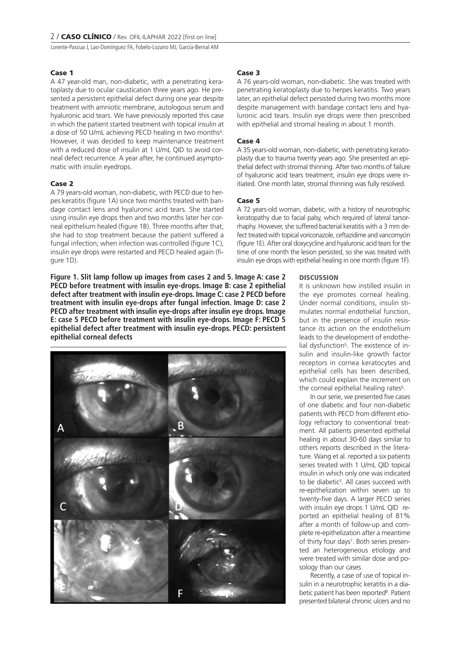Lorente-Pascua J, Lao-Domínguez FA, Fobelo-Lozano MJ, García-Bernal AM

### **Case 1**

A 47 year-old man, non-diabetic, with a penetrating keratoplasty due to ocular caustication three years ago. He presented a persistent epithelial defect during one year despite treatment with amniotic membrane, autologous serum and hyaluronic acid tears. We have previously reported this case in which the patient started treatment with topical insulin at a dose of 50 U/mL achieving PECD healing in two months4. However, it was decided to keep maintenance treatment with a reduced dose of insulin at 1 U/mL QID to avoid corneal defect recurrence. A year after, he continued asymptomatic with insulin eyedrops.

### **Case 2**

A 79 years-old woman, non-diabetic, with PECD due to herpes keratitis (figure 1A) since two months treated with bandage contact lens and hyaluronic acid tears. She started using insulin eye drops then and two months later her corneal epithelium healed (figure 1B). Three months after that, she had to stop treatment because the patient suffered a fungal infection; when infection was controlled (figure 1C). insulin eye drops were restarted and PECD healed again (figure 1D).

**Figure 1. Slit lamp follow up images from cases 2 and 5. Image A: case 2 PECD before treatment with insulin eye-drops. Image B: case 2 epithelial defect after treatment with insulin eye-drops. Image C: case 2 PECD before treatment with insulin eye-drops after fungal infection. Image D: case 2 PECD after treatment with insulin eye-drops after insulin eye drops. Image E: case 5 PECD before treatment with insulin eye-drops. Image F: PECD 5 epithelial defect after treatment with insulin eye-drops. PECD: persistent epithelial corneal defects**



#### **Case 3**

A 76 years-old woman, non-diabetic. She was treated with penetrating keratoplasty due to herpes keratitis. Two years later, an epithelial defect persisted during two months more despite management with bandage contact lens and hyaluronic acid tears. Insulin eye drops were then prescribed with epithelial and stromal healing in about 1 month.

#### **Case 4**

A 35 years-old woman, non-diabetic, with penetrating keratoplasty due to trauma twenty years ago. She presented an epithelial defect with stromal thinning. After two months of failure of hyaluronic acid tears treatment, insulin eye drops were initiated. One month later, stromal thinning was fully resolved.

#### **Case 5**

A 72 years-old woman, diabetic, with a history of neurotrophic keratopathy due to facial palsy, which required of lateral tarsorrhaphy. However, she suffered bacterial keratitis with a 3 mm defect treated with topical voriconazole, ceftazidime and vancomycin (figure 1E). After oral doxycycline and hyaluronic acid tears for the time of one month the lesion persisted, so she was treated with insulin eye drops with epithelial healing in one month (figure 1F).

### **DISCUSSION**

It is unknown how instilled insulin in the eye promotes corneal healing. Under normal conditions, insulin stimulates normal endothelial function, but in the presence of insulin resistance its action on the endothelium leads to the development of endothelial dysfunction<sup>5</sup>. The existence of insulin and insulin-like growth factor receptors in cornea keratocytes and epithelial cells has been described, which could explain the increment on the corneal epithelial healing rates<sup>6</sup>.

In our serie, we presented five cases of one diabetic and four non-diabetic patients with PECD from different etiology refractory to conventional treatment. All patients presented epithelial healing in about 30-60 days similar to others reports described in the literature. Wang et al. reported a six patients series treated with 1 U/mL QID topical insulin in which only one was indicated to be diabetic<sup>3</sup>. All cases succeed with re-epithelization within seven up to twenty-five days. A larger PECD series with insulin eye drops 1 U/mL QID reported an epithelial healing of 81% after a month of follow-up and complete re-epithelization after a meantime of thirty four days<sup>7</sup>. Both series presented an heterogeneous etiology and were treated with similar dose and posology than our cases.

Recently, a case of use of topical insulin in a neurotrophic keratitis in a diabetic patient has been reported<sup>8</sup>. Patient presented bilateral chronic ulcers and no